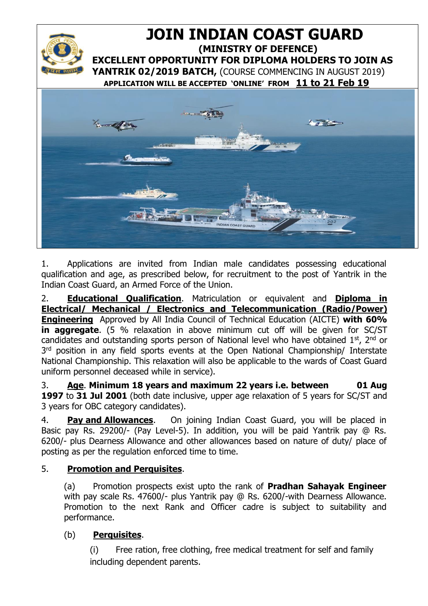

1. Applications are invited from Indian male candidates possessing educational qualification and age, as prescribed below, for recruitment to the post of Yantrik in the Indian Coast Guard, an Armed Force of the Union.

2. **Educational Qualification**. Matriculation or equivalent and **Diploma in Electrical/ Mechanical / Electronics and Telecommunication (Radio/Power) Engineering** Approved by All India Council of Technical Education (AICTE) **with 60% in aggregate**. (5 % relaxation in above minimum cut off will be given for SC/ST candidates and outstanding sports person of National level who have obtained  $1^{st}$ ,  $2^{nd}$  or 3<sup>rd</sup> position in any field sports events at the Open National Championship/ Interstate National Championship. This relaxation will also be applicable to the wards of Coast Guard uniform personnel deceased while in service).

3. **Age**. **Minimum 18 years and maximum 22 years i.e. between 01 Aug 1997** to **31 Jul 2001** (both date inclusive, upper age relaxation of 5 years for SC/ST and 3 years for OBC category candidates).

4. **Pay and Allowances**. On joining Indian Coast Guard, you will be placed in Basic pay Rs. 29200/- (Pay Level-5). In addition, you will be paid Yantrik pay @ Rs. 6200/- plus Dearness Allowance and other allowances based on nature of duty/ place of posting as per the regulation enforced time to time.

# 5. **Promotion and Perquisites**.

(a) Promotion prospects exist upto the rank of **Pradhan Sahayak Engineer** with pay scale Rs. 47600/- plus Yantrik pay @ Rs. 6200/-with Dearness Allowance. Promotion to the next Rank and Officer cadre is subject to suitability and performance.

# (b) **Perquisites**.

(i) Free ration, free clothing, free medical treatment for self and family including dependent parents.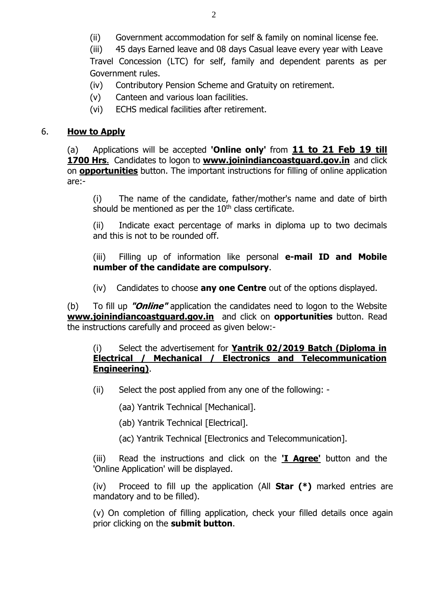(ii) Government accommodation for self & family on nominal license fee.

(iii) 45 days Earned leave and 08 days Casual leave every year with Leave Travel Concession (LTC) for self, family and dependent parents as per Government rules.

(iv) Contributory Pension Scheme and Gratuity on retirement.

- (v) Canteen and various loan facilities.
- (vi) ECHS medical facilities after retirement.

## 6. **How to Apply**

(a) Applications will be accepted **'Online only'** from **11 to 21 Feb 19 till 1700 Hrs**.Candidates to logon to **[www.joinindiancoastguard.gov.in](http://www.joinindiancoastguard.gov.in/)** and click on **opportunities** button. The important instructions for filling of online application are:-

(i) The name of the candidate, father/mother's name and date of birth should be mentioned as per the  $10<sup>th</sup>$  class certificate.

(ii) Indicate exact percentage of marks in diploma up to two decimals and this is not to be rounded off.

(iii) Filling up of information like personal **e-mail ID and Mobile number of the candidate are compulsory**.

(iv) Candidates to choose **any one Centre** out of the options displayed.

(b) To fill up **"Online"** application the candidates need to logon to the Website **[www.joinindiancoastguard.gov.in](http://www.joinindiancoastguard.gov.in/)** and click on **opportunities** button. Read the instructions carefully and proceed as given below:-

#### (i) Select the advertisement for **Yantrik 02/2019 Batch (Diploma in Electrical / Mechanical / Electronics and Telecommunication Engineering)**.

(ii) Select the post applied from any one of the following: -

(aa) Yantrik Technical [Mechanical].

- (ab) Yantrik Technical [Electrical].
- (ac) Yantrik Technical [Electronics and Telecommunication].

(iii) Read the instructions and click on the **'I Agree'** button and the 'Online Application' will be displayed.

(iv) Proceed to fill up the application (All **Star (\*)** marked entries are mandatory and to be filled).

(v) On completion of filling application, check your filled details once again prior clicking on the **submit button**.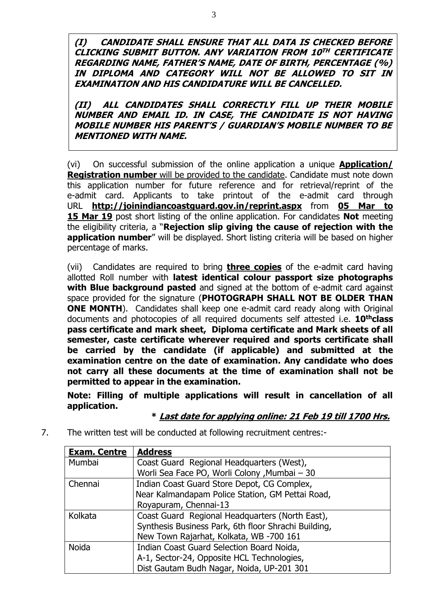**(I) CANDIDATE SHALL ENSURE THAT ALL DATA IS CHECKED BEFORE CLICKING SUBMIT BUTTON. ANY VARIATION FROM 10 TH CERTIFICATE REGARDING NAME, FATHER'S NAME, DATE OF BIRTH, PERCENTAGE (%) IN DIPLOMA AND CATEGORY WILL NOT BE ALLOWED TO SIT IN EXAMINATION AND HIS CANDIDATURE WILL BE CANCELLED.** 

**(II) ALL CANDIDATES SHALL CORRECTLY FILL UP THEIR MOBILE NUMBER AND EMAIL ID. IN CASE, THE CANDIDATE IS NOT HAVING MOBILE NUMBER HIS PARENT'S / GUARDIAN'S MOBILE NUMBER TO BE MENTIONED WITH NAME.**

(vi) On successful submission of the online application a unique **Application/ Registration number** will be provided to the candidate. Candidate must note down this application number for future reference and for retrieval/reprint of the e-admit card. Applicants to take printout of the e-admit card through URL **<http://joinindiancoastguard.gov.in/reprint.aspx>** from **05 Mar to 15 Mar 19** post short listing of the online application. For candidates **Not** meeting the eligibility criteria, a "**Rejection slip giving the cause of rejection with the application number**" will be displayed. Short listing criteria will be based on higher percentage of marks.

(vii) Candidates are required to bring **three copies** of the e-admit card having allotted Roll number with **latest identical colour passport size photographs with Blue background pasted** and signed at the bottom of e-admit card against space provided for the signature (**PHOTOGRAPH SHALL NOT BE OLDER THAN ONE MONTH**). Candidates shall keep one e-admit card ready along with Original documents and photocopies of all required documents self attested i.e. **10thclass pass certificate and mark sheet, Diploma certificate and Mark sheets of all semester, caste certificate wherever required and sports certificate shall be carried by the candidate (if applicable) and submitted at the examination centre on the date of examination. Any candidate who does not carry all these documents at the time of examination shall not be permitted to appear in the examination.**

**Note: Filling of multiple applications will result in cancellation of all application.** 

### **\* Last date for applying online: 21 Feb 19 till 1700 Hrs.**

7. The written test will be conducted at following recruitment centres:-

| <b>Exam. Centre</b> | <b>Address</b>                                       |
|---------------------|------------------------------------------------------|
| Mumbai              | Coast Guard Regional Headquarters (West),            |
|                     | Worli Sea Face PO, Worli Colony , Mumbai - 30        |
| Chennai             | Indian Coast Guard Store Depot, CG Complex,          |
|                     | Near Kalmandapam Police Station, GM Pettai Road,     |
|                     | Royapuram, Chennai-13                                |
| Kolkata             | Coast Guard Regional Headquarters (North East),      |
|                     | Synthesis Business Park, 6th floor Shrachi Building, |
|                     | New Town Rajarhat, Kolkata, WB -700 161              |
| <b>Noida</b>        | Indian Coast Guard Selection Board Noida,            |
|                     | A-1, Sector-24, Opposite HCL Technologies,           |
|                     | Dist Gautam Budh Nagar, Noida, UP-201 301            |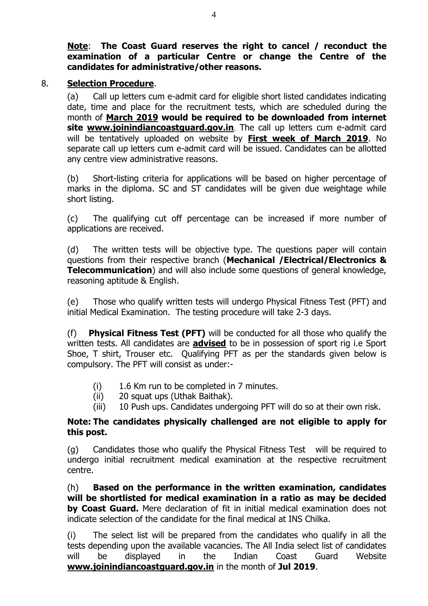**Note**: **The Coast Guard reserves the right to cancel / reconduct the examination of a particular Centre or change the Centre of the candidates for administrative/other reasons.**

#### 8. **Selection Procedure**.

(a) Call up letters cum e-admit card for eligible short listed candidates indicating date, time and place for the recruitment tests, which are scheduled during the month of **March 2019 would be required to be downloaded from internet site [www.joinindiancoastguard.gov.in](http://www.joinindiancoastguard.gov.in/)**. The call up letters cum e-admit card will be tentatively uploaded on website by **First week of March 2019**. No separate call up letters cum e-admit card will be issued. Candidates can be allotted any centre view administrative reasons.

(b) Short-listing criteria for applications will be based on higher percentage of marks in the diploma. SC and ST candidates will be given due weightage while short listing.

(c) The qualifying cut off percentage can be increased if more number of applications are received.

(d) The written tests will be objective type. The questions paper will contain questions from their respective branch (**Mechanical /Electrical/Electronics & Telecommunication**) and will also include some questions of general knowledge, reasoning aptitude & English.

(e) Those who qualify written tests will undergo Physical Fitness Test (PFT) and initial Medical Examination. The testing procedure will take 2-3 days.

(f) **Physical Fitness Test (PFT)** will be conducted for all those who qualify the written tests. All candidates are **advised** to be in possession of sport rig i.e Sport Shoe, T shirt, Trouser etc. Qualifying PFT as per the standards given below is compulsory. The PFT will consist as under:-

- (i) 1.6 Km run to be completed in 7 minutes.
- (ii) 20 squat ups (Uthak Baithak).
- (iii) 10 Push ups. Candidates undergoing PFT will do so at their own risk.

### **Note: The candidates physically challenged are not eligible to apply for this post.**

(g) Candidates those who qualify the Physical Fitness Test will be required to undergo initial recruitment medical examination at the respective recruitment centre.

(h) **Based on the performance in the written examination, candidates will be shortlisted for medical examination in a ratio as may be decided by Coast Guard.** Mere declaration of fit in initial medical examination does not indicate selection of the candidate for the final medical at INS Chilka.

(i) The select list will be prepared from the candidates who qualify in all the tests depending upon the available vacancies. The All India select list of candidates will be displayed in the Indian Coast Guard Website **[www.joinindiancoastguard.gov.in](http://www.joinindiancoastguard.gov.in/)** in the month of **Jul 2019**.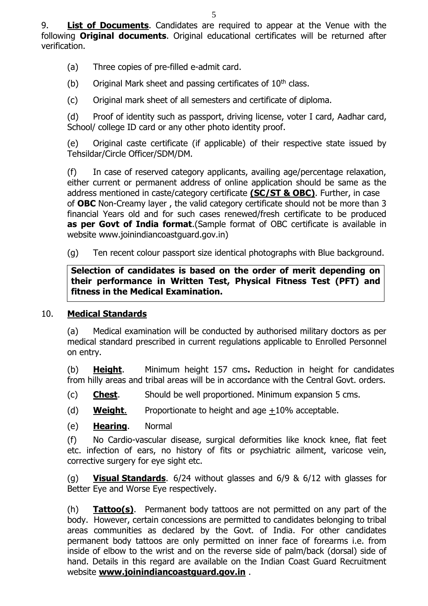9. **List of Documents**. Candidates are required to appear at the Venue with the following **Original documents**. Original educational certificates will be returned after verification.

(a) Three copies of pre-filled e-admit card.

(b) Original Mark sheet and passing certificates of  $10<sup>th</sup>$  class.

(c) Original mark sheet of all semesters and certificate of diploma.

(d) Proof of identity such as passport, driving license, voter I card, Aadhar card, School/ college ID card or any other photo identity proof.

(e) Original caste certificate (if applicable) of their respective state issued by Tehsildar/Circle Officer/SDM/DM.

(f) In case of reserved category applicants, availing age/percentage relaxation, either current or permanent address of online application should be same as the address mentioned in caste/category certificate **(SC/ST & OBC)**. Further, in case of **OBC** Non-Creamy layer , the valid category certificate should not be more than 3 financial Years old and for such cases renewed/fresh certificate to be produced **as per Govt of India format**.(Sample format of OBC certificate is available in website www.joinindiancoastguard.gov.in)

(g) Ten recent colour passport size identical photographs with Blue background.

**Selection of candidates is based on the order of merit depending on their performance in Written Test, Physical Fitness Test (PFT) and fitness in the Medical Examination.** 

### 10. **Medical Standards**

(a) Medical examination will be conducted by authorised military doctors as per medical standard prescribed in current regulations applicable to Enrolled Personnel on entry.

(b) **Height**. Minimum height 157 cms**.** Reduction in height for candidates from hilly areas and tribal areas will be in accordance with the Central Govt. orders.

(c) **Chest**. Should be well proportioned. Minimum expansion 5 cms.

(d) **Weight**. Proportionate to height and age +10% acceptable.

(e) **Hearing**. Normal

(f) No Cardio-vascular disease, surgical deformities like knock knee, flat feet etc. infection of ears, no history of fits or psychiatric ailment, varicose vein, corrective surgery for eye sight etc.

(g) **Visual Standards**. 6/24 without glasses and 6/9 & 6/12 with glasses for Better Eye and Worse Eye respectively.

(h) **Tattoo(s)**. Permanent body tattoos are not permitted on any part of the body. However, certain concessions are permitted to candidates belonging to tribal areas communities as declared by the Govt. of India. For other candidates permanent body tattoos are only permitted on inner face of forearms i.e. from inside of elbow to the wrist and on the reverse side of palm/back (dorsal) side of hand. Details in this regard are available on the Indian Coast Guard Recruitment website **[www.joinindiancoastguard.gov.in](http://www.joinindiancoastguard.gov.in/)** .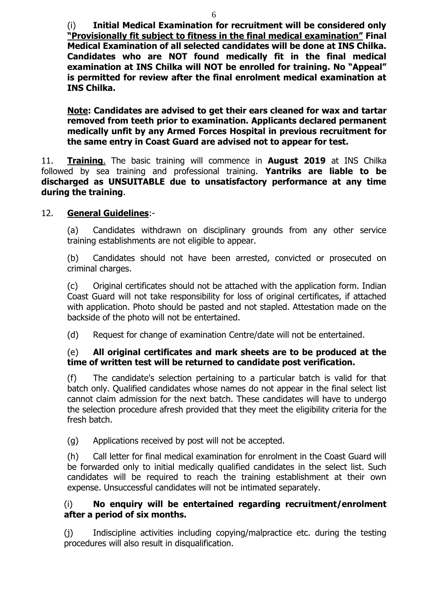(i) **Initial Medical Examination for recruitment will be considered only "Provisionally fit subject to fitness in the final medical examination" Final Medical Examination of all selected candidates will be done at INS Chilka. Candidates who are NOT found medically fit in the final medical examination at INS Chilka will NOT be enrolled for training. No "Appeal" is permitted for review after the final enrolment medical examination at INS Chilka.**

**Note: Candidates are advised to get their ears cleaned for wax and tartar removed from teeth prior to examination. Applicants declared permanent medically unfit by any Armed Forces Hospital in previous recruitment for the same entry in Coast Guard are advised not to appear for test.**

11. **Training**. The basic training will commence in **August 2019** at INS Chilka followed by sea training and professional training. **Yantriks are liable to be discharged as UNSUITABLE due to unsatisfactory performance at any time during the training**.

### 12. **General Guidelines**:-

(a) Candidates withdrawn on disciplinary grounds from any other service training establishments are not eligible to appear.

(b) Candidates should not have been arrested, convicted or prosecuted on criminal charges.

(c) Original certificates should not be attached with the application form. Indian Coast Guard will not take responsibility for loss of original certificates, if attached with application. Photo should be pasted and not stapled. Attestation made on the backside of the photo will not be entertained.

(d) Request for change of examination Centre/date will not be entertained.

### (e) **All original certificates and mark sheets are to be produced at the time of written test will be returned to candidate post verification.**

(f) The candidate's selection pertaining to a particular batch is valid for that batch only. Qualified candidates whose names do not appear in the final select list cannot claim admission for the next batch. These candidates will have to undergo the selection procedure afresh provided that they meet the eligibility criteria for the fresh batch.

(g) Applications received by post will not be accepted.

(h) Call letter for final medical examination for enrolment in the Coast Guard will be forwarded only to initial medically qualified candidates in the select list. Such candidates will be required to reach the training establishment at their own expense. Unsuccessful candidates will not be intimated separately.

### (i) **No enquiry will be entertained regarding recruitment/enrolment after a period of six months.**

(j) Indiscipline activities including copying/malpractice etc. during the testing procedures will also result in disqualification.